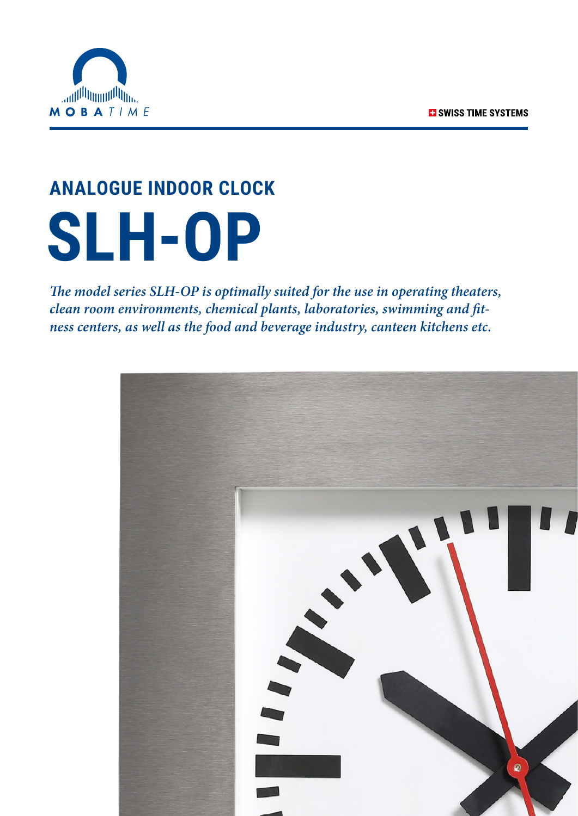

# **ANALOGUE INDOOR CLOCK SLH-OP**

*The model series SLH-OP is optimally suited for the use in operating theaters, clean room environments, chemical plants, laboratories, swimming and fitness centers, as well as the food and beverage industry, canteen kitchens etc.*

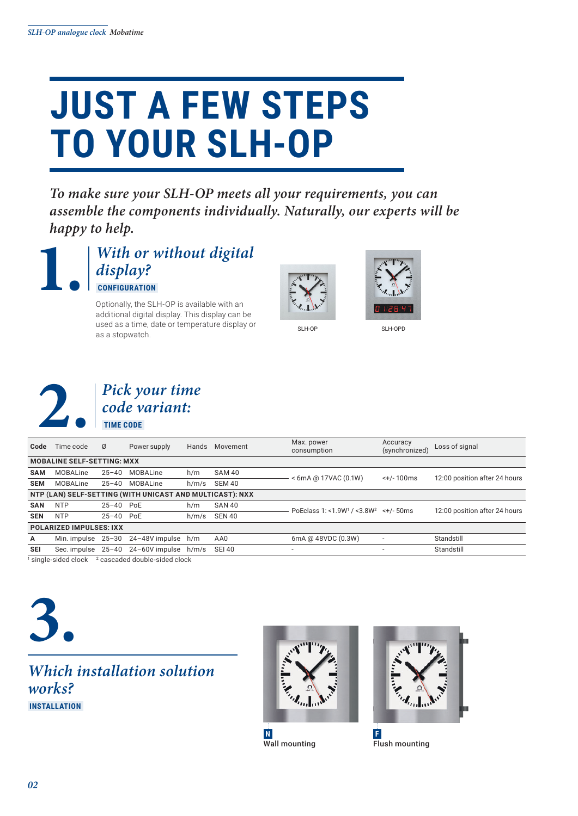## **JUST A FEW STEPS TO YOUR SLH-OP**

*To make sure your SLH-OP meets all your requirements, you can assemble the components individually. Naturally, our experts will be happy to help.*



**1.** *With or without digital display?*  **CONFIGURATION** 

Optionally, the SLH-OP is available with an additional digital display. This display can be used as a time, date or temperature display or as a stopwatch.





SLH-OP SLH-OPD



| Code                                                     | Time code                         | Ø             | Power supply                                   | Hands | Movement      | Max. power<br>consumption                                                  | Accuracy<br>(synchronized) | Loss of signal                |
|----------------------------------------------------------|-----------------------------------|---------------|------------------------------------------------|-------|---------------|----------------------------------------------------------------------------|----------------------------|-------------------------------|
|                                                          | <b>MOBALINE SELF-SETTING: MXX</b> |               |                                                |       |               |                                                                            |                            |                               |
| <b>SAM</b>                                               | MOBALine                          | $25 - 40$     | MOBALine                                       | h/m   | <b>SAM 40</b> | $< 6$ mA @ 17VAC (0.1W)<br>$< +/- 100$ ms<br>12:00 position after 24 hours |                            |                               |
| <b>SEM</b>                                               | MOBALine                          | $25 - 40$     | MOBALine                                       | h/m/s | SEM 40        |                                                                            |                            |                               |
| NTP (LAN) SELF-SETTING (WITH UNICAST AND MULTICAST): NXX |                                   |               |                                                |       |               |                                                                            |                            |                               |
| <b>SAN</b>                                               | <b>NTP</b>                        | $25 - 40$ PoE |                                                | h/m   | SAN 40        | PoEclass 1: <1.9W <sup>1</sup> / <3.8W <sup>2</sup> <+/- 50ms              |                            | 12:00 position after 24 hours |
| <b>SEN</b>                                               | <b>NTP</b>                        | $25 - 40$ PoE |                                                | h/m/s | <b>SEN 40</b> |                                                                            |                            |                               |
| <b>POLARIZED IMPULSES: IXX</b>                           |                                   |               |                                                |       |               |                                                                            |                            |                               |
| A                                                        |                                   |               | Min. impulse 25-30 24-48V impulse h/m          |       | AA0           | 6mA @ 48VDC (0.3W)                                                         | $\overline{\phantom{a}}$   | Standstill                    |
| <b>SEI</b>                                               |                                   |               | Sec. impulse $25-40$ $24-60$ V impulse $h/m/s$ |       | <b>SEI 40</b> |                                                                            |                            | Standstill                    |
|                                                          |                                   |               |                                                |       |               |                                                                            |                            |                               |

 $1$  single-sided clock  $2$  cascaded double-sided clock

# **3.**

## *Which installation solution works?*  **INSTALLATION**





**N** Wall mounting

**F** Flush mounting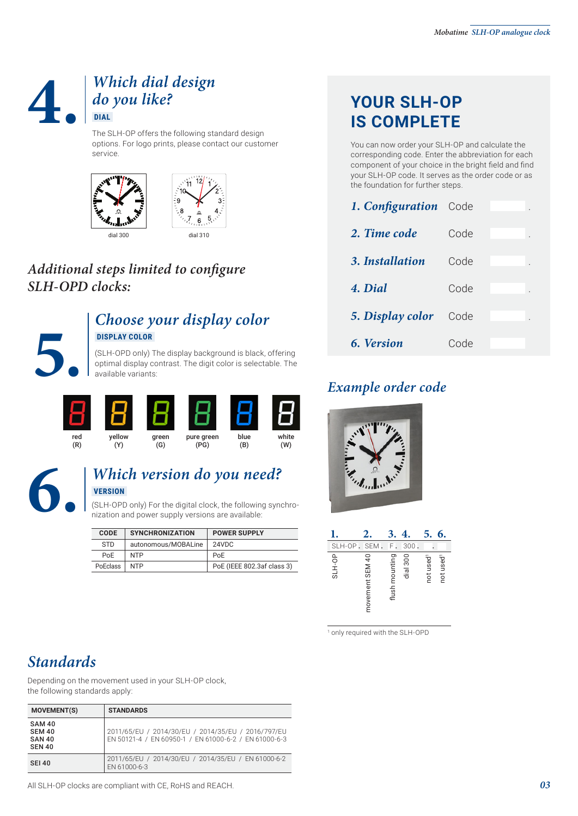## **4.** *Which dial design do you like?*  **DIAL**

The SLH-OP offers the following standard design options. For logo prints, please contact our customer service.





## *Additional steps limited to configure SLH-OPD clocks:*



### *Choose your display color*  **DISPLAY COLOR**

**11 SPLAY COLOR**<br> **6. Version** Code<br> **6. Version** Code<br> **6. Version** Code<br>
optimal display contrast. The digit color is selectable. The<br> **Example order code** (SLH-OPD only) The display background is black, offering optimal display contrast. The digit color is selectable. The available variants:



## **6.** *Which version do you need?*  **VERSION**

(SLH-OPD only) For the digital clock, the following synchronization and power supply versions are available:

| <b>CODE</b>     | <b>SYNCHRONIZATION</b> | <b>POWER SUPPLY</b>        |
|-----------------|------------------------|----------------------------|
| <b>STD</b>      | autonomous/MOBALine    | 24VDC                      |
| Po <sub>F</sub> | <b>NTP</b>             | PoE                        |
| <b>PoEclass</b> | <b>NTP</b>             | PoE (IEEE 802.3af class 3) |

## **YOUR SLH-OP IS COMPLETE**

You can now order your SLH-OP and calculate the corresponding code. Enter the abbreviation for each component of your choice in the bright field and find your SLH-OP code. It serves as the order code or as the foundation for further steps.

| 1. Configuration Code |      |
|-----------------------|------|
| 2. Time code          | Code |
| 3. Installation       | Code |
| 4. Dial               | Code |
| 5. Display color      | Code |
| 6. Version            | Code |

## *Example order code*



|        | 2.              | 3.             | 4,       | 5.<br>6.                                       |
|--------|-----------------|----------------|----------|------------------------------------------------|
| SLH-OP | <b>SEM</b>      | F.             | 300      |                                                |
| SLH-OP | movement SEM 40 | flush mounting | dial 300 | not used <sup>1</sup><br>not used <sup>1</sup> |

1 only required with the SLH-OPD

## *Standards*

Depending on the movement used in your SLH-OP clock, the following standards apply:

| <b>MOVEMENT(S)</b>                                               | <b>STANDARDS</b>                                                                                            |
|------------------------------------------------------------------|-------------------------------------------------------------------------------------------------------------|
| <b>SAM 40</b><br><b>SEM 40</b><br><b>SAN 40</b><br><b>SEN 40</b> | 2011/65/EU / 2014/30/EU / 2014/35/EU / 2016/797/EU<br>EN 50121-4 / EN 60950-1 / EN 61000-6-2 / EN 61000-6-3 |
| <b>SEI 40</b>                                                    | 2011/65/EU / 2014/30/EU / 2014/35/EU / EN 61000-6-2<br>EN 61000-6-3                                         |

All SLH-OP clocks are compliant with CE, RoHS and REACH.